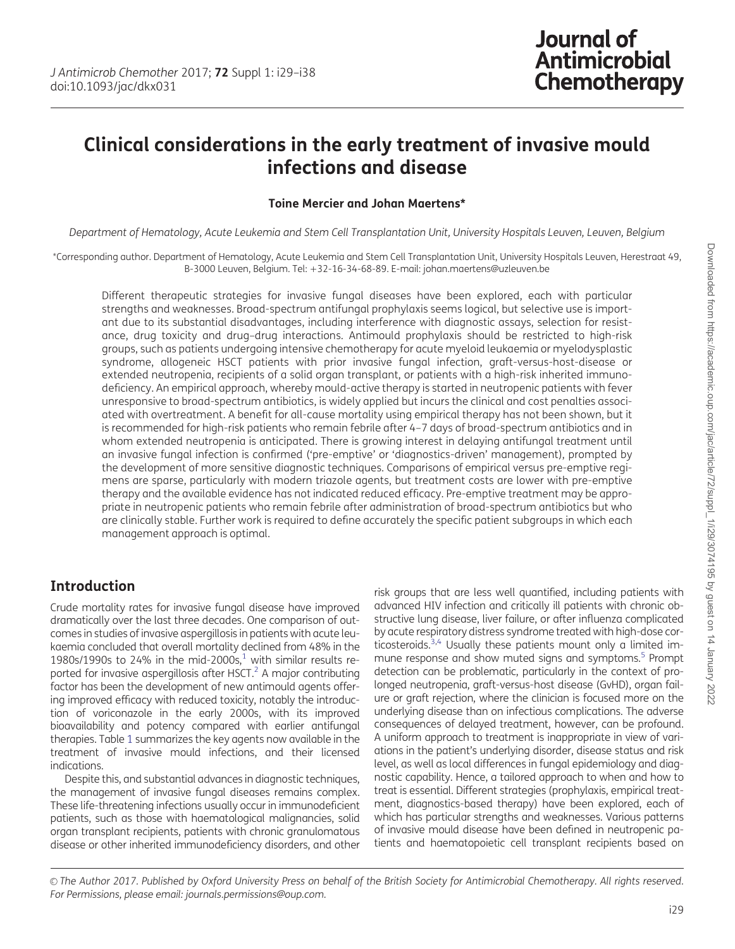# Clinical considerations in the early treatment of invasive mould infections and disease

#### Toine Mercier and Johan Maertens\*

Department of Hematology, Acute Leukemia and Stem Cell Transplantation Unit, University Hospitals Leuven, Leuven, Belgium

\*Corresponding author. Department of Hematology, Acute Leukemia and Stem Cell Transplantation Unit, University Hospitals Leuven, Herestraat 49, B-3000 Leuven, Belgium. Tel: +32-16-34-68-89. E-mail: johan.maertens@uzleuven.be

Different therapeutic strategies for invasive fungal diseases have been explored, each with particular strengths and weaknesses. Broad-spectrum antifungal prophylaxis seems logical, but selective use is important due to its substantial disadvantages, including interference with diagnostic assays, selection for resistance, drug toxicity and drug–drug interactions. Antimould prophylaxis should be restricted to high-risk groups, such as patients undergoing intensive chemotherapy for acute myeloid leukaemia or myelodysplastic syndrome, allogeneic HSCT patients with prior invasive fungal infection, graft-versus-host-disease or extended neutropenia, recipients of a solid organ transplant, or patients with a high-risk inherited immunodeficiency. An empirical approach, whereby mould-active therapy is started in neutropenic patients with fever unresponsive to broad-spectrum antibiotics, is widely applied but incurs the clinical and cost penalties associated with overtreatment. A benefit for all-cause mortality using empirical therapy has not been shown, but it is recommended for high-risk patients who remain febrile after 4–7 days of broad-spectrum antibiotics and in whom extended neutropenia is anticipated. There is growing interest in delaying antifungal treatment until an invasive fungal infection is confirmed ('pre-emptive' or 'diagnostics-driven' management), prompted by the development of more sensitive diagnostic techniques. Comparisons of empirical versus pre-emptive regimens are sparse, particularly with modern triazole agents, but treatment costs are lower with pre-emptive therapy and the available evidence has not indicated reduced efficacy. Pre-emptive treatment may be appropriate in neutropenic patients who remain febrile after administration of broad-spectrum antibiotics but who are clinically stable. Further work is required to define accurately the specific patient subgroups in which each management approach is optimal.

# Introduction

Crude mortality rates for invasive fungal disease have improved dramatically over the last three decades. One comparison of outcomes in studies of invasive aspergillosis in patients with acute leukaemia concluded that overall mortality declined from 48% in the [1](#page-8-0)980s/1990s to 24% in the mid-2000s, $1$  with similar results reported for invasive aspergillosis after  $HSCT<sup>2</sup>$  $HSCT<sup>2</sup>$  $HSCT<sup>2</sup>$  A major contributing factor has been the development of new antimould agents offering improved efficacy with reduced toxicity, notably the introduction of voriconazole in the early 2000s, with its improved bioavailability and potency compared with earlier antifungal therapies. Table [1](#page-1-0) summarizes the key agents now available in the treatment of invasive mould infections, and their licensed indications.

Despite this, and substantial advances in diagnostic techniques, the management of invasive fungal diseases remains complex. These life-threatening infections usually occur in immunodeficient patients, such as those with haematological malignancies, solid organ transplant recipients, patients with chronic granulomatous disease or other inherited immunodeficiency disorders, and other

risk groups that are less well quantified, including patients with advanced HIV infection and critically ill patients with chronic obstructive lung disease, liver failure, or after influenza complicated by acute respiratory distress syndrome treated with high-dose corticosteroids.<sup>3,4</sup> Usually these patients mount only a limited immune response and show muted signs and symptoms.<sup>5</sup> Prompt detection can be problematic, particularly in the context of prolonged neutropenia, graft-versus-host disease (GvHD), organ failure or graft rejection, where the clinician is focused more on the underlying disease than on infectious complications. The adverse consequences of delayed treatment, however, can be profound. A uniform approach to treatment is inappropriate in view of variations in the patient's underlying disorder, disease status and risk level, as well as local differences in fungal epidemiology and diagnostic capability. Hence, a tailored approach to when and how to treat is essential. Different strategies (prophylaxis, empirical treatment, diagnostics-based therapy) have been explored, each of which has particular strengths and weaknesses. Various patterns of invasive mould disease have been defined in neutropenic patients and haematopoietic cell transplant recipients based on

© The Author 2017. Published by Oxford University Press on behalf of the British Society for Antimicrobial Chemotherapy. All rights reserved. For Permissions, please email: journals.permissions@oup.com.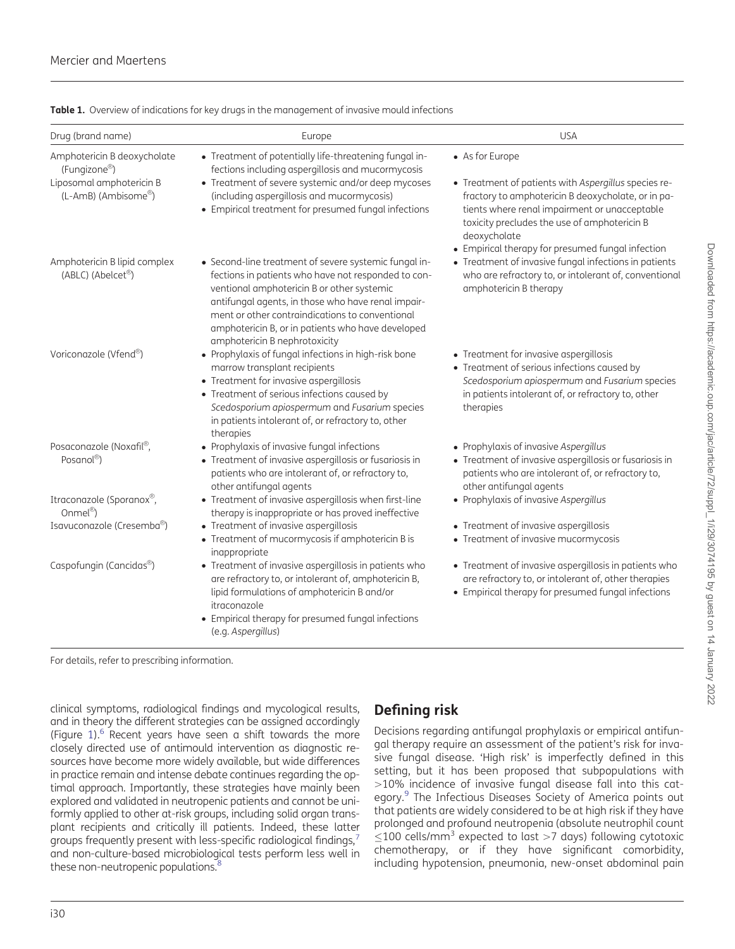| Drug (brand name)                                              | Europe                                                                                                                                                                                                                                                                                                                                                    | <b>USA</b>                                                                                                                                                                                                                  |
|----------------------------------------------------------------|-----------------------------------------------------------------------------------------------------------------------------------------------------------------------------------------------------------------------------------------------------------------------------------------------------------------------------------------------------------|-----------------------------------------------------------------------------------------------------------------------------------------------------------------------------------------------------------------------------|
| Amphotericin B deoxycholate<br>(Fungizone®)                    | • Treatment of potentially life-threatening fungal in-<br>fections including aspergillosis and mucormycosis                                                                                                                                                                                                                                               | • As for Europe                                                                                                                                                                                                             |
| Liposomal amphotericin B<br>(L-AmB) (Ambisome <sup>®</sup> )   | • Treatment of severe systemic and/or deep mycoses<br>(including aspergillosis and mucormycosis)<br>• Empirical treatment for presumed fungal infections                                                                                                                                                                                                  | • Treatment of patients with Aspergillus species re-<br>fractory to amphotericin B deoxycholate, or in pa-<br>tients where renal impairment or unacceptable<br>toxicity precludes the use of amphotericin B<br>deoxycholate |
|                                                                |                                                                                                                                                                                                                                                                                                                                                           | • Empirical therapy for presumed fungal infection                                                                                                                                                                           |
| Amphotericin B lipid complex<br>(ABLC) (Abelcet <sup>®</sup> ) | • Second-line treatment of severe systemic fungal in-<br>fections in patients who have not responded to con-<br>ventional amphotericin B or other systemic<br>antifungal agents, in those who have renal impair-<br>ment or other contraindications to conventional<br>amphotericin B, or in patients who have developed<br>amphotericin B nephrotoxicity | • Treatment of invasive fungal infections in patients<br>who are refractory to, or intolerant of, conventional<br>amphotericin B therapy                                                                                    |
| Voriconazole (Vfend®)                                          | • Prophylaxis of fungal infections in high-risk bone<br>marrow transplant recipients<br>• Treatment for invasive aspergillosis<br>• Treatment of serious infections caused by<br>Scedosporium apiospermum and Fusarium species<br>in patients intolerant of, or refractory to, other<br>therapies                                                         | • Treatment for invasive aspergillosis<br>• Treatment of serious infections caused by<br>Scedosporium apiospermum and Fusarium species<br>in patients intolerant of, or refractory to, other<br>therapies                   |
| Posaconazole (Noxafil®,<br>Posanol <sup>®</sup> )              | • Prophylaxis of invasive fungal infections<br>• Treatment of invasive aspergillosis or fusariosis in<br>patients who are intolerant of, or refractory to,<br>other antifungal agents                                                                                                                                                                     | • Prophylaxis of invasive Aspergillus<br>• Treatment of invasive aspergillosis or fusariosis in<br>patients who are intolerant of, or refractory to,<br>other antifungal agents                                             |
| Itraconazole (Sporanox <sup>®</sup> ,<br>$Onmel^(8)$           | • Treatment of invasive aspergillosis when first-line<br>therapy is inappropriate or has proved ineffective                                                                                                                                                                                                                                               | • Prophylaxis of invasive Aspergillus                                                                                                                                                                                       |
| Isavuconazole (Cresemba®)                                      | • Treatment of invasive aspergillosis                                                                                                                                                                                                                                                                                                                     | • Treatment of invasive aspergillosis                                                                                                                                                                                       |
|                                                                | • Treatment of mucormycosis if amphotericin B is<br>inappropriate                                                                                                                                                                                                                                                                                         | • Treatment of invasive mucormycosis                                                                                                                                                                                        |
| Caspofungin (Cancidas <sup>®</sup> )                           | • Treatment of invasive aspergillosis in patients who<br>are refractory to, or intolerant of, amphotericin B,<br>lipid formulations of amphotericin B and/or<br>itraconazole<br>• Empirical therapy for presumed fungal infections<br>(e.g. Aspergillus)                                                                                                  | • Treatment of invasive aspergillosis in patients who<br>are refractory to, or intolerant of, other therapies<br>• Empirical therapy for presumed fungal infections                                                         |

<span id="page-1-0"></span>Table 1. Overview of indications for key drugs in the management of invasive mould infections

For details, refer to prescribing information.

clinical symptoms, radiological findings and mycological results, and in theory the different strategies can be assigned accordingly (Figure [1](#page-2-0))[.6](#page-8-0) Recent years have seen a shift towards the more closely directed use of antimould intervention as diagnostic resources have become more widely available, but wide differences in practice remain and intense debate continues regarding the optimal approach. Importantly, these strategies have mainly been explored and validated in neutropenic patients and cannot be uniformly applied to other at-risk groups, including solid organ transplant recipients and critically ill patients. Indeed, these latter groups frequently present with less-specific radiological findings, $7/2$ and non-culture-based microbiological tests perform less well in these non-neutropenic populations.<sup>8</sup>

# Defining risk

Decisions regarding antifungal prophylaxis or empirical antifungal therapy require an assessment of the patient's risk for invasive fungal disease. 'High risk' is imperfectly defined in this setting, but it has been proposed that subpopulations with  $>10\%$  incidence of invasive fungal disease fall into this cat-egory.<sup>[9](#page-8-0)</sup> The Infectious Diseases Society of America points out that patients are widely considered to be at high risk if they have prolonged and profound neutropenia (absolute neutrophil count  $\leq$ 100 cells/mm<sup>3</sup> expected to last >7 days) following cytotoxic chemotherapy, or if they have significant comorbidity, including hypotension, pneumonia, new-onset abdominal pain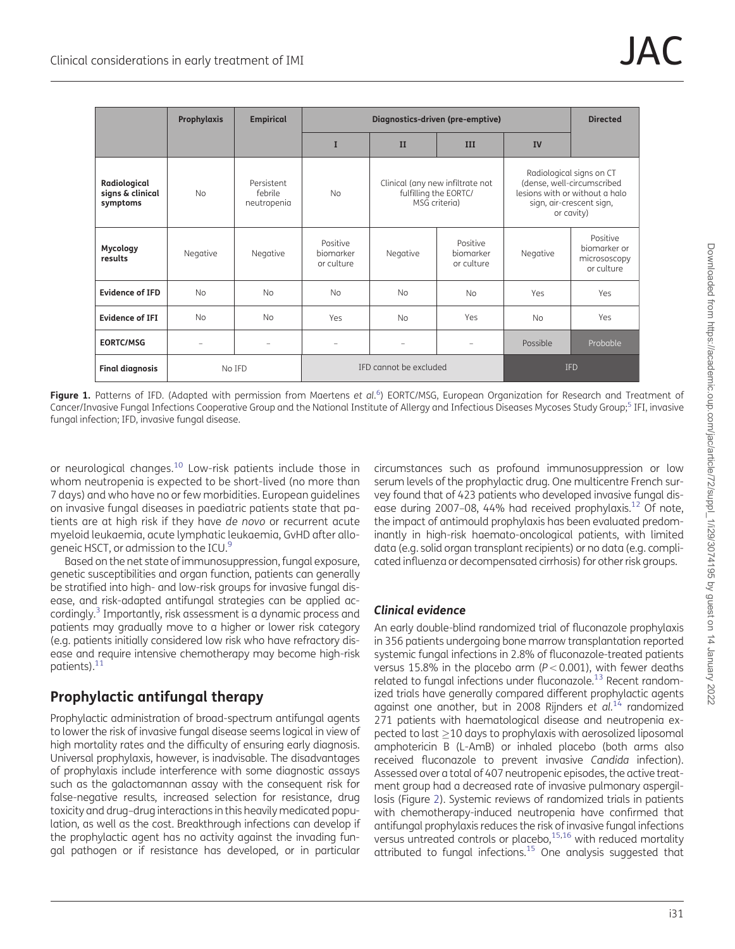<span id="page-2-0"></span>

|                                              | Prophylaxis              | <b>Empirical</b>                     | Diagnostics-driven (pre-emptive)    |                                        |                                     | <b>Directed</b>                                                                                      |                                                        |
|----------------------------------------------|--------------------------|--------------------------------------|-------------------------------------|----------------------------------------|-------------------------------------|------------------------------------------------------------------------------------------------------|--------------------------------------------------------|
|                                              |                          |                                      | I                                   | II                                     | III                                 | <b>IV</b>                                                                                            |                                                        |
| Radiological<br>signs & clinical<br>symptoms | <b>No</b>                | Persistent<br>febrile<br>neutropenia | <b>No</b>                           | fulfilling the EORTC/<br>MSG criteria) | Clinical (any new infiltrate not    | Radiological signs on CT<br>lesions with or without a halo<br>sign, air-crescent sign,<br>or cavity) | (dense, well-circumscribed                             |
| <b>Mycology</b><br>results                   | Negative                 | Negative                             | Positive<br>biomarker<br>or culture | Negative                               | Positive<br>biomarker<br>or culture | Negative                                                                                             | Positive<br>biomarker or<br>micrososcopy<br>or culture |
| <b>Evidence of IFD</b>                       | <b>No</b>                | <b>No</b>                            | <b>No</b>                           | <b>No</b>                              | <b>No</b>                           | Yes                                                                                                  | Yes                                                    |
| <b>Evidence of IFI</b>                       | <b>No</b>                | <b>No</b>                            | Yes                                 | <b>No</b>                              | Yes                                 | <b>No</b>                                                                                            | Yes                                                    |
| <b>EORTC/MSG</b>                             | $\overline{\phantom{0}}$ |                                      | $\overline{\phantom{0}}$            | -                                      |                                     | Possible                                                                                             | Probable                                               |
| <b>Final diagnosis</b>                       | No IFD                   |                                      |                                     | IFD cannot be excluded                 |                                     | <b>IFD</b>                                                                                           |                                                        |

Figure 1. Patterns of IFD. (Adapted with permission from Maertens et al.<sup>[6](#page-8-0)</sup>) EORTC/MSG, European Organization for Research and Treatment of Cancer/Invasive Fungal Infections Cooperative Group and the National Institute of Allergy and Infectious Diseases Mycoses Study Group;<sup>5</sup> IFI, invasive fungal infection; IFD, invasive fungal disease.

or neurological changes.<sup>[10](#page-8-0)</sup> Low-risk patients include those in whom neutropenia is expected to be short-lived (no more than 7 days) and who have no or few morbidities. European guidelines on invasive fungal diseases in paediatric patients state that patients are at high risk if they have de novo or recurrent acute myeloid leukaemia, acute lymphatic leukaemia, GvHD after allogeneic HSCT, or admission to the ICU.[9](#page-8-0)

Based on the net state of immunosuppression, fungal exposure, genetic susceptibilities and organ function, patients can generally be stratified into high- and low-risk groups for invasive fungal disease, and risk-adapted antifungal strategies can be applied accordingly[.3](#page-8-0) Importantly, risk assessment is a dynamic process and patients may gradually move to a higher or lower risk category (e.g. patients initially considered low risk who have refractory disease and require intensive chemotherapy may become high-risk patients).<sup>11</sup>

# Prophylactic antifungal therapy

Prophylactic administration of broad-spectrum antifungal agents to lower the risk of invasive fungal disease seems logical in view of high mortality rates and the difficulty of ensuring early diagnosis. Universal prophylaxis, however, is inadvisable. The disadvantages of prophylaxis include interference with some diagnostic assays such as the galactomannan assay with the consequent risk for false-negative results, increased selection for resistance, drug toxicity and drug–drug interactions in this heavily medicated population, as well as the cost. Breakthrough infections can develop if the prophylactic agent has no activity against the invading fungal pathogen or if resistance has developed, or in particular

circumstances such as profound immunosuppression or low serum levels of the prophylactic drug. One multicentre French survey found that of 423 patients who developed invasive fungal disease during 2007–08, 44% had received prophylaxis.<sup>12</sup> Of note, the impact of antimould prophylaxis has been evaluated predominantly in high-risk haemato-oncological patients, with limited data (e.g. solid organ transplant recipients) or no data (e.g. complicated influenza or decompensated cirrhosis) for other risk groups.

### Clinical evidence

An early double-blind randomized trial of fluconazole prophylaxis in 356 patients undergoing bone marrow transplantation reported systemic fungal infections in 2.8% of fluconazole-treated patients versus 15.8% in the placebo arm ( $P < 0.001$ ), with fewer deaths related to fungal infections under fluconazole.<sup>13</sup> Recent randomized trials have generally compared different prophylactic agents against one another, but in 2008 Rijnders et  $al.14$  $al.14$  randomized 271 patients with haematological disease and neutropenia expected to last 10 days to prophylaxis with aerosolized liposomal amphotericin B (L-AmB) or inhaled placebo (both arms also received fluconazole to prevent invasive Candida infection). Assessed over a total of 407 neutropenic episodes, the active treatment group had a decreased rate of invasive pulmonary aspergillosis (Figure [2](#page-3-0)). Systemic reviews of randomized trials in patients with chemotherapy-induced neutropenia have confirmed that antifungal prophylaxis reduces the risk of invasive fungal infections versus untreated controls or placebo,<sup>[15](#page-8-0),[16](#page-8-0)</sup> with reduced mortality attributed to fungal infections.[15](#page-8-0) One analysis suggested that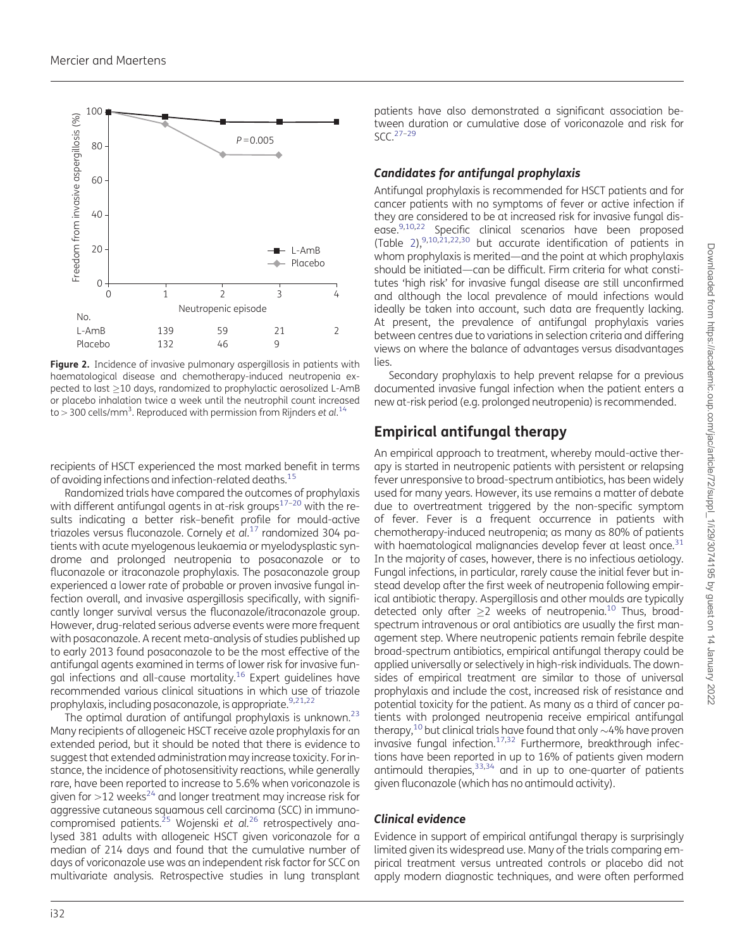<span id="page-3-0"></span>

Figure 2. Incidence of invasive pulmonary aspergillosis in patients with haematological disease and chemotherapy-induced neutropenia expected to last 10 days, randomized to prophylactic aerosolized L-AmB or placebo inhalation twice a week until the neutrophil count increased to > 300 cells/mm<sup>3</sup>. Reproduced with permission from Rijnders et al.<sup>[14](#page-8-0)</sup>

recipients of HSCT experienced the most marked benefit in terms of avoiding infections and infection-related deaths[.15](#page-8-0)

Randomized trials have compared the outcomes of prophylaxis with different antifungal agents in at-risk groups $17-20$  $17-20$  $17-20$  with the results indicating a better risk–benefit profile for mould-active triazoles versus fluconazole. Cornely et  $al$ .<sup>[17](#page-8-0)</sup> randomized 304 patients with acute myelogenous leukaemia or myelodysplastic syndrome and prolonged neutropenia to posaconazole or to fluconazole or itraconazole prophylaxis. The posaconazole group experienced a lower rate of probable or proven invasive fungal infection overall, and invasive aspergillosis specifically, with significantly longer survival versus the fluconazole/itraconazole group. However, drug-related serious adverse events were more frequent with posaconazole. A recent meta-analysis of studies published up to early 2013 found posaconazole to be the most effective of the antifungal agents examined in terms of lower risk for invasive fun-gal infections and all-cause mortality.<sup>[16](#page-8-0)</sup> Expert guidelines have recommended various clinical situations in which use of triazole prophylaxis, including posaconazole, is appropriate.<sup>[9,21,22](#page-8-0)</sup>

The optimal duration of antifungal prophylaxis is unknown.<sup>23</sup> Many recipients of allogeneic HSCT receive azole prophylaxis for an extended period, but it should be noted that there is evidence to suggest that extended administration may increase toxicity. For instance, the incidence of photosensitivity reactions, while generally rare, have been reported to increase to 5.6% when voriconazole is given for  $>12$  weeks<sup>24</sup> and longer treatment may increase risk for aggressive cutaneous squamous cell carcinoma (SCC) in immunocompromised patients. $25$  Wojenski et al. $26$  retrospectively analysed 381 adults with allogeneic HSCT given voriconazole for a median of 214 days and found that the cumulative number of days of voriconazole use was an independent risk factor for SCC on multivariate analysis. Retrospective studies in lung transplant patients have also demonstrated a significant association between duration or cumulative dose of voriconazole and risk for SCC[.27–29](#page-8-0)

#### Candidates for antifungal prophylaxis

Antifungal prophylaxis is recommended for HSCT patients and for cancer patients with no symptoms of fever or active infection if they are considered to be at increased risk for invasive fungal dis-ease.<sup>[9](#page-8-0),[10](#page-8-0),[22](#page-8-0)</sup> Specific clinical scenarios have been proposed (Table [2\)](#page-4-0),[9,10,21,22,](#page-8-0)[30](#page-9-0) but accurate identification of patients in whom prophylaxis is merited—and the point at which prophylaxis should be initiated—can be difficult. Firm criteria for what constitutes 'high risk' for invasive fungal disease are still unconfirmed and although the local prevalence of mould infections would ideally be taken into account, such data are frequently lacking. At present, the prevalence of antifungal prophylaxis varies between centres due to variations in selection criteria and differing views on where the balance of advantages versus disadvantages lies.

Secondary prophylaxis to help prevent relapse for a previous documented invasive fungal infection when the patient enters a new at-risk period (e.g. prolonged neutropenia) is recommended.

# Empirical antifungal therapy

An empirical approach to treatment, whereby mould-active therapy is started in neutropenic patients with persistent or relapsing fever unresponsive to broad-spectrum antibiotics, has been widely used for many years. However, its use remains a matter of debate due to overtreatment triggered by the non-specific symptom of fever. Fever is a frequent occurrence in patients with chemotherapy-induced neutropenia; as many as 80% of patients with haematological malignancies develop fever at least once. $31$ In the majority of cases, however, there is no infectious aetiology. Fungal infections, in particular, rarely cause the initial fever but instead develop after the first week of neutropenia following empirical antibiotic therapy. Aspergillosis and other moulds are typically detected only after  $\geq$ 2 weeks of neutropenia.<sup>[10](#page-8-0)</sup> Thus, broadspectrum intravenous or oral antibiotics are usually the first management step. Where neutropenic patients remain febrile despite broad-spectrum antibiotics, empirical antifungal therapy could be applied universally or selectively in high-risk individuals. The downsides of empirical treatment are similar to those of universal prophylaxis and include the cost, increased risk of resistance and potential toxicity for the patient. As many as a third of cancer patients with prolonged neutropenia receive empirical antifungal therapy,  $10$  but clinical trials have found that only  $\sim$  4% have proven invasive fungal infection.<sup>17[,32](#page-9-0)</sup> Furthermore, breakthrough infections have been reported in up to 16% of patients given modern antimould therapies,  $33,34$  $33,34$  $33,34$  and in up to one-quarter of patients given fluconazole (which has no antimould activity).

#### Clinical evidence

Evidence in support of empirical antifungal therapy is surprisingly limited given its widespread use. Many of the trials comparing empirical treatment versus untreated controls or placebo did not apply modern diagnostic techniques, and were often performed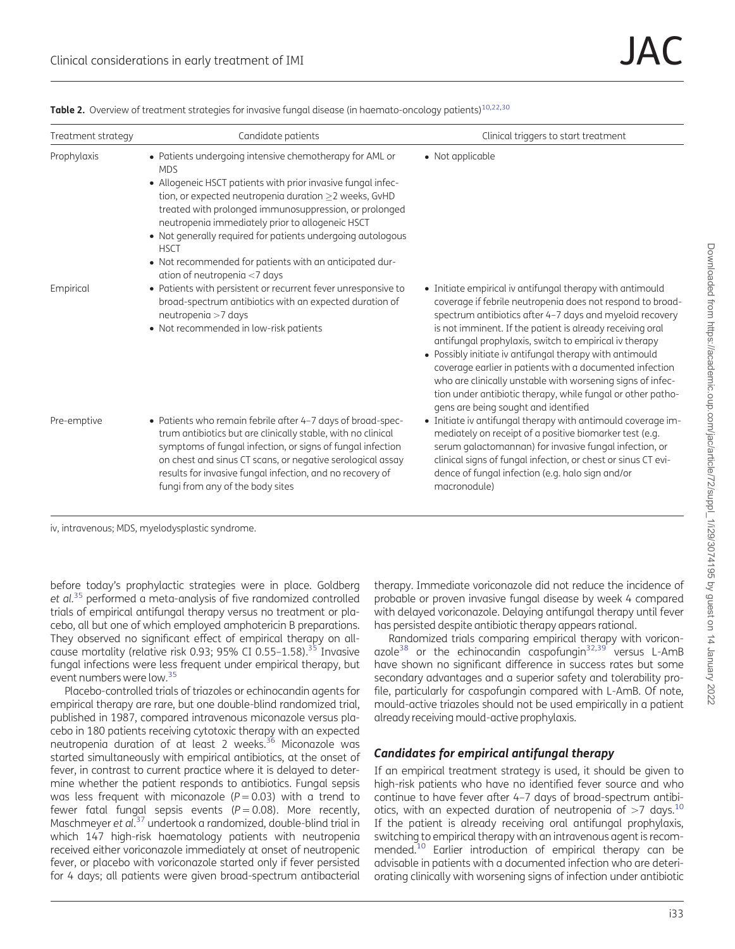| Treatment strategy | Candidate patients                                                                                                                                                                                                                                                                                                                                                                                                                                                                          | Clinical triggers to start treatment                                                                                                                                                                                                                                                                                                                                                                                                                                                                                                                            |
|--------------------|---------------------------------------------------------------------------------------------------------------------------------------------------------------------------------------------------------------------------------------------------------------------------------------------------------------------------------------------------------------------------------------------------------------------------------------------------------------------------------------------|-----------------------------------------------------------------------------------------------------------------------------------------------------------------------------------------------------------------------------------------------------------------------------------------------------------------------------------------------------------------------------------------------------------------------------------------------------------------------------------------------------------------------------------------------------------------|
| Prophylaxis        | • Patients undergoing intensive chemotherapy for AML or<br><b>MDS</b><br>• Allogeneic HSCT patients with prior invasive fungal infec-<br>tion, or expected neutropenia duration $\geq$ 2 weeks, GvHD<br>treated with prolonged immunosuppression, or prolonged<br>neutropenia immediately prior to allogeneic HSCT<br>• Not generally required for patients undergoing autologous<br><b>HSCT</b><br>• Not recommended for patients with an anticipated dur-<br>ation of neutropenia <7 days | • Not applicable                                                                                                                                                                                                                                                                                                                                                                                                                                                                                                                                                |
| Empirical          | • Patients with persistent or recurrent fever unresponsive to<br>broad-spectrum antibiotics with an expected duration of<br>neutropenia >7 days<br>• Not recommended in low-risk patients                                                                                                                                                                                                                                                                                                   | • Initiate empirical iv antifungal therapy with antimould<br>coverage if febrile neutropenia does not respond to broad-<br>spectrum antibiotics after 4-7 days and myeloid recovery<br>is not imminent. If the patient is already receiving oral<br>antifungal prophylaxis, switch to empirical iv therapy<br>• Possibly initiate iv antifungal therapy with antimould<br>coverage earlier in patients with a documented infection<br>who are clinically unstable with worsening signs of infec-<br>tion under antibiotic therapy, while fungal or other patho- |
| Pre-emptive        | • Patients who remain febrile after 4-7 days of broad-spec-<br>trum antibiotics but are clinically stable, with no clinical<br>symptoms of fungal infection, or signs of fungal infection<br>on chest and sinus CT scans, or negative serological assay<br>results for invasive fungal infection, and no recovery of<br>fungi from any of the body sites                                                                                                                                    | gens are being sought and identified<br>• Initiate iv antifungal therapy with antimould coverage im-<br>mediately on receipt of a positive biomarker test (e.g.<br>serum galactomannan) for invasive fungal infection, or<br>clinical signs of fungal infection, or chest or sinus CT evi-<br>dence of fungal infection (e.g. halo sign and/or<br>macronodule)                                                                                                                                                                                                  |

<span id="page-4-0"></span>Table 2. Overview of treatment strategies for invasive fungal disease (in haemato-oncology patients)<sup>[10](#page-8-0),[22,](#page-8-0)[30](#page-9-0)</sup>

iv, intravenous; MDS, myelodysplastic syndrome.

before today's prophylactic strategies were in place. Goldberg et al.[35](#page-9-0) performed a meta-analysis of five randomized controlled trials of empirical antifungal therapy versus no treatment or placebo, all but one of which employed amphotericin B preparations. They observed no significant effect of empirical therapy on all-cause mortality (relative risk 0.93; 95% CI 0.55-1.58).<sup>[35](#page-9-0)</sup> Invasive fungal infections were less frequent under empirical therapy, but event numbers were low[.35](#page-9-0)

Placebo-controlled trials of triazoles or echinocandin agents for empirical therapy are rare, but one double-blind randomized trial, published in 1987, compared intravenous miconazole versus placebo in 180 patients receiving cytotoxic therapy with an expected neutropenia duration of at least 2 weeks.<sup>36</sup> Miconazole was started simultaneously with empirical antibiotics, at the onset of fever, in contrast to current practice where it is delayed to determine whether the patient responds to antibiotics. Fungal sepsis was less frequent with miconazole ( $P = 0.03$ ) with a trend to fewer fatal fungal sepsis events ( $P = 0.08$ ). More recently, Maschmeyer et al.<sup>[37](#page-9-0)</sup> undertook a randomized, double-blind trial in which 147 high-risk haematology patients with neutropenia received either voriconazole immediately at onset of neutropenic fever, or placebo with voriconazole started only if fever persisted for 4 days; all patients were given broad-spectrum antibacterial

therapy. Immediate voriconazole did not reduce the incidence of probable or proven invasive fungal disease by week 4 compared with delayed voriconazole. Delaying antifungal therapy until fever has persisted despite antibiotic therapy appears rational.

Randomized trials comparing empirical therapy with voricon-azole<sup>38</sup> or the echinocandin caspofungin<sup>[32](#page-9-0),[39](#page-9-0)</sup> versus L-AmB have shown no significant difference in success rates but some secondary advantages and a superior safety and tolerability profile, particularly for caspofungin compared with L-AmB. Of note, mould-active triazoles should not be used empirically in a patient already receiving mould-active prophylaxis.

#### Candidates for empirical antifungal therapy

If an empirical treatment strategy is used, it should be given to high-risk patients who have no identified fever source and who continue to have fever after 4–7 days of broad-spectrum antibiotics, with an expected duration of neutropenia of  $>7$  days.<sup>10</sup> If the patient is already receiving oral antifungal prophylaxis, switching to empirical therapy with an intravenous agent is recommended[.10](#page-8-0) Earlier introduction of empirical therapy can be advisable in patients with a documented infection who are deteriorating clinically with worsening signs of infection under antibiotic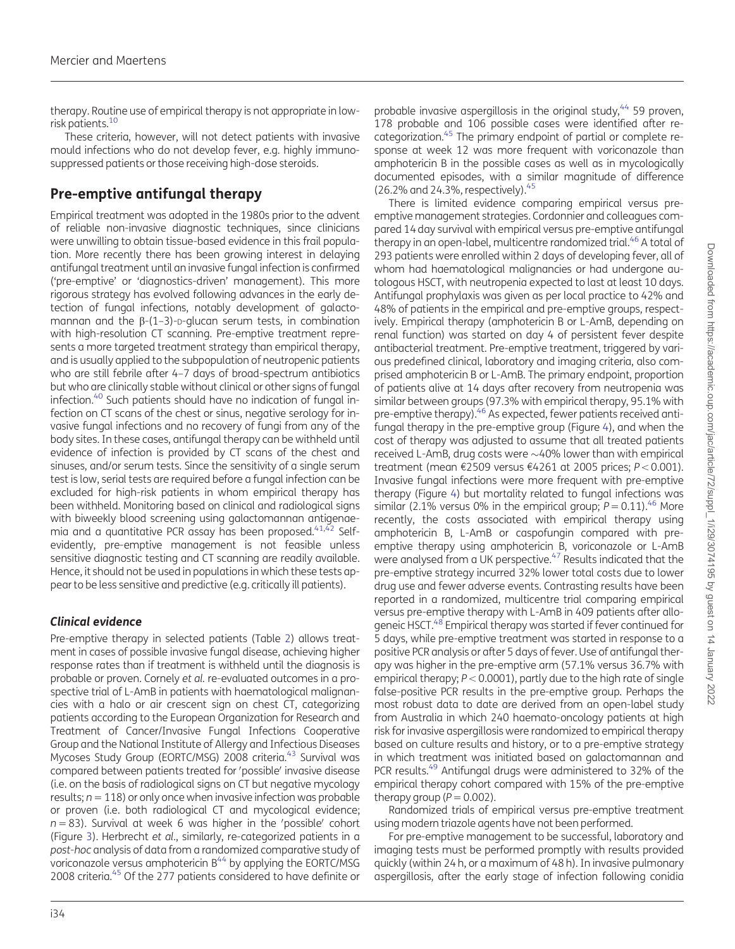therapy. Routine use of empirical therapy is not appropriate in lowrisk patients.[10](#page-8-0)

These criteria, however, will not detect patients with invasive mould infections who do not develop fever, e.g. highly immunosuppressed patients or those receiving high-dose steroids.

# Pre-emptive antifungal therapy

Empirical treatment was adopted in the 1980s prior to the advent of reliable non-invasive diagnostic techniques, since clinicians were unwilling to obtain tissue-based evidence in this frail population. More recently there has been growing interest in delaying antifungal treatment until an invasive fungal infection is confirmed ('pre-emptive' or 'diagnostics-driven' management). This more rigorous strategy has evolved following advances in the early detection of fungal infections, notably development of galactomannan and the  $\beta$ -(1-3)-D-glucan serum tests, in combination with high-resolution CT scanning. Pre-emptive treatment represents a more targeted treatment strategy than empirical therapy, and is usually applied to the subpopulation of neutropenic patients who are still febrile after 4-7 days of broad-spectrum antibiotics but who are clinically stable without clinical or other signs of fungal infection[.40](#page-9-0) Such patients should have no indication of fungal infection on CT scans of the chest or sinus, negative serology for invasive fungal infections and no recovery of fungi from any of the body sites. In these cases, antifungal therapy can be withheld until evidence of infection is provided by CT scans of the chest and sinuses, and/or serum tests. Since the sensitivity of a single serum test is low, serial tests are required before a fungal infection can be excluded for high-risk patients in whom empirical therapy has been withheld. Monitoring based on clinical and radiological signs with biweekly blood screening using galactomannan antigenaemia and a quantitative PCR assay has been proposed. $41,42$  Selfevidently, pre-emptive management is not feasible unless sensitive diagnostic testing and CT scanning are readily available. Hence, it should not be used in populations in which these tests appear to be less sensitive and predictive (e.g. critically ill patients).

### Clinical evidence

Pre-emptive therapy in selected patients (Table [2](#page-4-0)) allows treatment in cases of possible invasive fungal disease, achieving higher response rates than if treatment is withheld until the diagnosis is probable or proven. Cornely et al. re-evaluated outcomes in a prospective trial of L-AmB in patients with haematological malignancies with a halo or air crescent sign on chest CT, categorizing patients according to the European Organization for Research and Treatment of Cancer/Invasive Fungal Infections Cooperative Group and the National Institute of Allergy and Infectious Diseases Mycoses Study Group (EORTC/MSG) 2008 criteria.<sup>43</sup> Survival was compared between patients treated for 'possible' invasive disease (i.e. on the basis of radiological signs on CT but negative mycology results;  $n = 118$ ) or only once when invasive infection was probable or proven (i.e. both radiological CT and mycological evidence;  $n = 83$ ). Survival at week 6 was higher in the 'possible' cohort (Figure [3\)](#page-6-0). Herbrecht et al., similarly, re-categorized patients in a post-hoc analysis of data from a randomized comparative study of voriconazole versus amphotericin  $B^{44}$  by applying the EORTC/MSG 2008 criteria.<sup>45</sup> Of the 277 patients considered to have definite or

probable invasive aspergillosis in the original study.<sup>[44](#page-9-0)</sup> 59 proven, 178 probable and 106 possible cases were identified after recategorization[.45](#page-9-0) The primary endpoint of partial or complete response at week 12 was more frequent with voriconazole than amphotericin B in the possible cases as well as in mycologically documented episodes, with a similar magnitude of difference (26.2% and 24.3%, respectively)[.45](#page-9-0)

There is limited evidence comparing empirical versus preemptive management strategies. Cordonnier and colleagues compared 14 day survival with empirical versus pre-emptive antifungal therapy in an open-label, multicentre randomized trial.<sup>46</sup> A total of 293 patients were enrolled within 2 days of developing fever, all of whom had haematological malignancies or had undergone autologous HSCT, with neutropenia expected to last at least 10 days. Antifungal prophylaxis was given as per local practice to 42% and 48% of patients in the empirical and pre-emptive groups, respectively. Empirical therapy (amphotericin B or L-AmB, depending on renal function) was started on day 4 of persistent fever despite antibacterial treatment. Pre-emptive treatment, triggered by various predefined clinical, laboratory and imaging criteria, also comprised amphotericin B or L-AmB. The primary endpoint, proportion of patients alive at 14 days after recovery from neutropenia was similar between groups (97.3% with empirical therapy, 95.1% with pre-emptive therapy).[46](#page-9-0) As expected, fewer patients received antifungal therapy in the pre-emptive group (Figure [4](#page-7-0)), and when the cost of therapy was adjusted to assume that all treated patients received L-AmB, drug costs were  $\sim$  40% lower than with empirical treatment (mean  $E$ 2509 versus  $E$ 4261 at 2005 prices; P<0.001). Invasive fungal infections were more frequent with pre-emptive therapy (Figure [4\)](#page-7-0) but mortality related to fungal infections was similar (2.1% versus 0% in the empirical group;  $P = 0.11$ ).<sup>[46](#page-9-0)</sup> More recently, the costs associated with empirical therapy using amphotericin B, L-AmB or caspofungin compared with preemptive therapy using amphotericin B, voriconazole or L-AmB were analysed from a UK perspective.<sup>[47](#page-9-0)</sup> Results indicated that the pre-emptive strategy incurred 32% lower total costs due to lower drug use and fewer adverse events. Contrasting results have been reported in a randomized, multicentre trial comparing empirical versus pre-emptive therapy with L-AmB in 409 patients after allogeneic HSCT.[48](#page-9-0) Empirical therapy was started if fever continued for 5 days, while pre-emptive treatment was started in response to a positive PCR analysis or after 5 days of fever. Use of antifungal therapy was higher in the pre-emptive arm (57.1% versus 36.7% with empirical therapy;  $P < 0.0001$ ), partly due to the high rate of single false-positive PCR results in the pre-emptive group. Perhaps the most robust data to date are derived from an open-label study from Australia in which 240 haemato-oncology patients at high risk for invasive aspergillosis were randomized to empirical therapy based on culture results and history, or to a pre-emptive strategy in which treatment was initiated based on galactomannan and PCR results.<sup>49</sup> Antifungal drugs were administered to 32% of the empirical therapy cohort compared with 15% of the pre-emptive therapy group ( $P = 0.002$ ).

Randomized trials of empirical versus pre-emptive treatment using modern triazole agents have not been performed.

For pre-emptive management to be successful, laboratory and imaging tests must be performed promptly with results provided quickly (within 24 h, or a maximum of 48 h). In invasive pulmonary aspergillosis, after the early stage of infection following conidia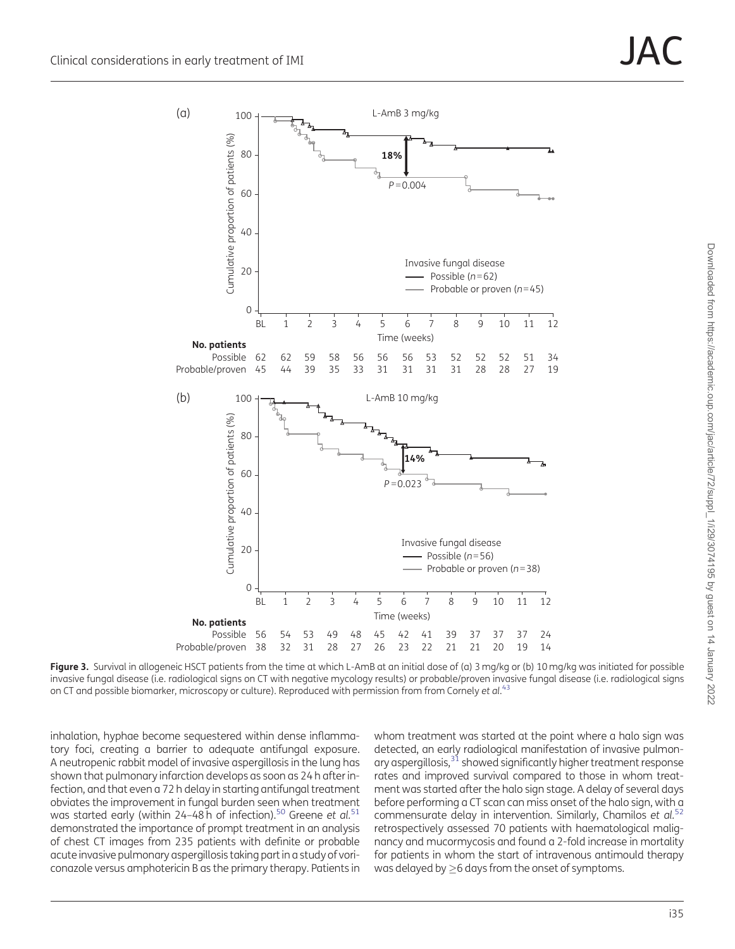<span id="page-6-0"></span>

Figure 3. Survival in allogeneic HSCT patients from the time at which L-AmB at an initial dose of (a) 3 mg/kg or (b) 10 mg/kg was initiated for possible invasive fungal disease (i.e. radiological signs on CT with negative mycology results) or probable/proven invasive fungal disease (i.e. radiological signs on CT and possible biomarker, microscopy or culture). Reproduced with permission from from Cornely et al.<sup>[43](#page-9-0)</sup>

inhalation, hyphae become sequestered within dense inflammatory foci, creating a barrier to adequate antifungal exposure. A neutropenic rabbit model of invasive aspergillosis in the lung has shown that pulmonary infarction develops as soon as 24 h after infection, and that even a 72 h delay in starting antifungal treatment obviates the improvement in fungal burden seen when treatment was started early (within 24-48 h of infection).<sup>50</sup> Greene et al.<sup>[51](#page-9-0)</sup> demonstrated the importance of prompt treatment in an analysis of chest CT images from 235 patients with definite or probable acute invasive pulmonary aspergillosis taking part in a study of voriconazole versus amphotericin B as the primary therapy. Patients in

whom treatment was started at the point where a halo sign was detected, an early radiological manifestation of invasive pulmonary aspergillosis,  $31$  showed significantly higher treatment response rates and improved survival compared to those in whom treatment was started after the halo sign stage. A delay of several days before performing a CT scan can miss onset of the halo sign, with a commensurate delay in intervention. Similarly, Chamilos et al.<sup>[52](#page-9-0)</sup> retrospectively assessed 70 patients with haematological malignancy and mucormycosis and found a 2-fold increase in mortality for patients in whom the start of intravenous antimould therapy was delayed by  $\geq$ 6 days from the onset of symptoms.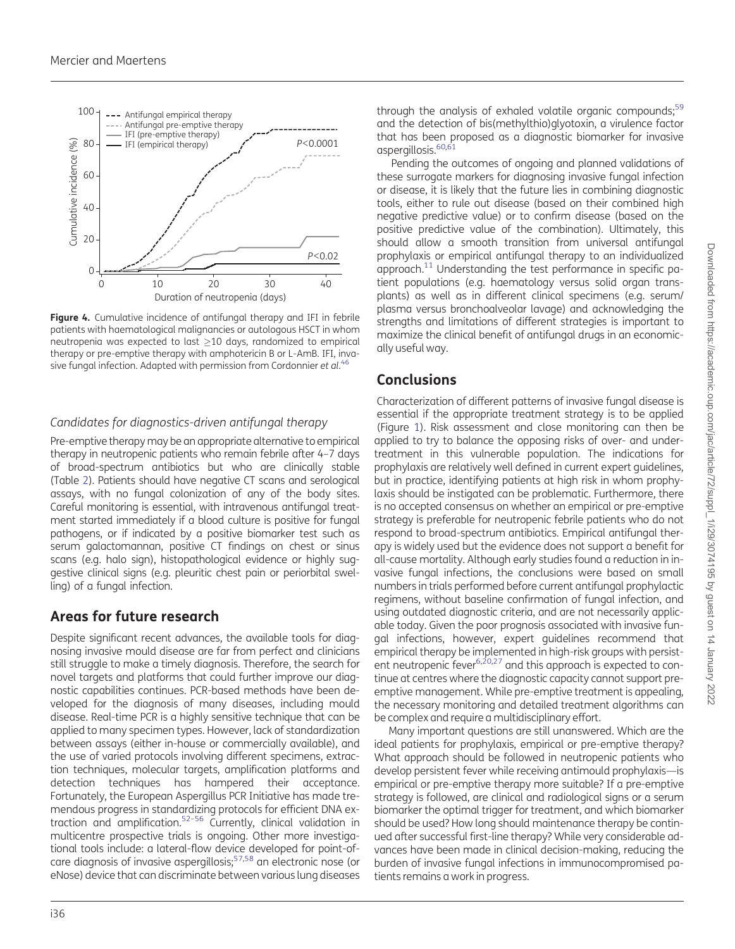<span id="page-7-0"></span>

Figure 4. Cumulative incidence of antifungal therapy and IFI in febrile patients with haematological malignancies or autologous HSCT in whom neutropenia was expected to last  $\geq$ 10 days, randomized to empirical therapy or pre-emptive therapy with amphotericin B or L-AmB. IFI, inva-sive fungal infection. Adapted with permission from Cordonnier et al.<sup>[46](#page-9-0)</sup>

#### Candidates for diagnostics-driven antifungal therapy

Pre-emptive therapy may be an appropriate alternative to empirical therapy in neutropenic patients who remain febrile after 4–7 days of broad-spectrum antibiotics but who are clinically stable (Table [2\)](#page-4-0). Patients should have negative CT scans and serological assays, with no fungal colonization of any of the body sites. Careful monitoring is essential, with intravenous antifungal treatment started immediately if a blood culture is positive for fungal pathogens, or if indicated by a positive biomarker test such as serum galactomannan, positive CT findings on chest or sinus scans (e.g. halo sign), histopathological evidence or highly suggestive clinical signs (e.g. pleuritic chest pain or periorbital swelling) of a fungal infection.

### Areas for future research

Despite significant recent advances, the available tools for diagnosing invasive mould disease are far from perfect and clinicians still struggle to make a timely diagnosis. Therefore, the search for novel targets and platforms that could further improve our diagnostic capabilities continues. PCR-based methods have been developed for the diagnosis of many diseases, including mould disease. Real-time PCR is a highly sensitive technique that can be applied to many specimen types. However, lack of standardization between assays (either in-house or commercially available), and the use of varied protocols involving different specimens, extraction techniques, molecular targets, amplification platforms and detection techniques has hampered their acceptance. Fortunately, the European Aspergillus PCR Initiative has made tremendous progress in standardizing protocols for efficient DNA extraction and amplification[.52–56](#page-9-0) Currently, clinical validation in multicentre prospective trials is ongoing. Other more investigational tools include: a lateral-flow device developed for point-of-care diagnosis of invasive aspergillosis;<sup>[57](#page-9-0),[58](#page-9-0)</sup> an electronic nose (or eNose) device that can discriminate between various lung diseases

Pending the outcomes of ongoing and planned validations of these surrogate markers for diagnosing invasive fungal infection or disease, it is likely that the future lies in combining diagnostic tools, either to rule out disease (based on their combined high negative predictive value) or to confirm disease (based on the positive predictive value of the combination). Ultimately, this should allow a smooth transition from universal antifungal prophylaxis or empirical antifungal therapy to an individualized approach. $11$  Understanding the test performance in specific patient populations (e.g. haematology versus solid organ transplants) as well as in different clinical specimens (e.g. serum/ plasma versus bronchoalveolar lavage) and acknowledging the strengths and limitations of different strategies is important to maximize the clinical benefit of antifungal drugs in an economically useful way.

### Conclusions

Characterization of different patterns of invasive fungal disease is essential if the appropriate treatment strategy is to be applied (Figure [1](#page-2-0)). Risk assessment and close monitoring can then be applied to try to balance the opposing risks of over- and undertreatment in this vulnerable population. The indications for prophylaxis are relatively well defined in current expert guidelines, but in practice, identifying patients at high risk in whom prophylaxis should be instigated can be problematic. Furthermore, there is no accepted consensus on whether an empirical or pre-emptive strategy is preferable for neutropenic febrile patients who do not respond to broad-spectrum antibiotics. Empirical antifungal therapy is widely used but the evidence does not support a benefit for all-cause mortality. Although early studies found a reduction in invasive fungal infections, the conclusions were based on small numbers in trials performed before current antifungal prophylactic regimens, without baseline confirmation of fungal infection, and using outdated diagnostic criteria, and are not necessarily applicable today. Given the poor prognosis associated with invasive fungal infections, however, expert guidelines recommend that empirical therapy be implemented in high-risk groups with persist-ent neutropenic fever<sup>[6,20,27](#page-8-0)</sup> and this approach is expected to continue at centres where the diagnostic capacity cannot support preemptive management. While pre-emptive treatment is appealing, the necessary monitoring and detailed treatment algorithms can be complex and require a multidisciplinary effort.

Many important questions are still unanswered. Which are the ideal patients for prophylaxis, empirical or pre-emptive therapy? What approach should be followed in neutropenic patients who develop persistent fever while receiving antimould prophylaxis—is empirical or pre-emptive therapy more suitable? If a pre-emptive strategy is followed, are clinical and radiological signs or a serum biomarker the optimal trigger for treatment, and which biomarker should be used? How long should maintenance therapy be continued after successful first-line therapy? While very considerable advances have been made in clinical decision-making, reducing the burden of invasive fungal infections in immunocompromised patients remains a work in progress.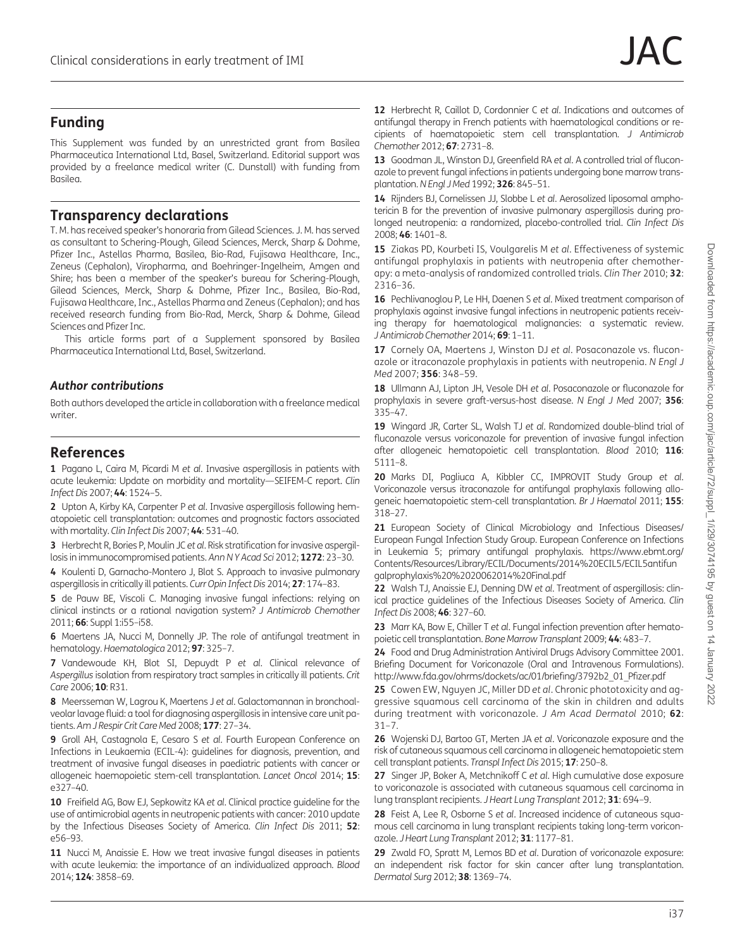## <span id="page-8-0"></span>Funding

This Supplement was funded by an unrestricted grant from Basilea Pharmaceutica International Ltd, Basel, Switzerland. Editorial support was provided by a freelance medical writer (C. Dunstall) with funding from Basilea.

### Transparency declarations

T. M. has received speaker's honoraria from Gilead Sciences. J. M. has served as consultant to Schering-Plough, Gilead Sciences, Merck, Sharp & Dohme, Pfizer Inc., Astellas Pharma, Basilea, Bio-Rad, Fujisawa Healthcare, Inc., Zeneus (Cephalon), Viropharma, and Boehringer-Ingelheim, Amgen and Shire; has been a member of the speaker's bureau for Schering-Plough, Gilead Sciences, Merck, Sharp & Dohme, Pfizer Inc., Basilea, Bio-Rad, Fujisawa Healthcare, Inc., Astellas Pharma and Zeneus (Cephalon); and has received research funding from Bio-Rad, Merck, Sharp & Dohme, Gilead Sciences and Pfizer Inc.

This article forms part of a Supplement sponsored by Basilea Pharmaceutica International Ltd, Basel, Switzerland.

### Author contributions

Both authors developed the article in collaboration with a freelance medical writer.

### References

1 Pagano L, Caira M, Picardi M et al. Invasive aspergillosis in patients with acute leukemia: Update on morbidity and mortality—SEIFEM-C report. Clin Infect Dis 2007; 44: 1524–5.

2 Upton A, Kirby KA, Carpenter P et al. Invasive aspergillosis following hematopoietic cell transplantation: outcomes and prognostic factors associated with mortality. Clin Infect Dis 2007; 44: 531–40.

3 Herbrecht R, Bories P, Moulin JC et al. Risk stratification for invasive aspergillosis in immunocompromised patients. Ann N Y Acad Sci 2012; 1272: 23–30.

4 Koulenti D, Garnacho-Montero J, Blot S. Approach to invasive pulmonary aspergillosis in critically ill patients. Curr Opin Infect Dis 2014; 27: 174–83.

5 de Pauw BE, Viscoli C. Managina invasive fungal infections: relying on clinical instincts or a rational navigation system? J Antimicrob Chemother 2011; 66: Suppl 1:i55–i58.

6 Maertens JA, Nucci M, Donnelly JP. The role of antifungal treatment in hematology. Haematologica 2012; 97: 325-7.

7 Vandewoude KH, Blot SI, Depuydt P et al. Clinical relevance of Aspergillus isolation from respiratory tract samples in critically ill patients. Crit Care 2006; **10**: R31.

8 Meersseman W, Lagrou K, Maertens J et al. Galactomannan in bronchoalveolar lavage fluid: a tool for diagnosing aspergillosis in intensive care unit patients. Am J Respir Crit Care Med 2008; 177: 27–34.

9 Groll AH, Castagnola E, Cesaro S et al. Fourth European Conference on Infections in Leukaemia (ECIL-4): guidelines for diagnosis, prevention, and treatment of invasive fungal diseases in paediatric patients with cancer or allogeneic haemopoietic stem-cell transplantation. Lancet Oncol 2014; 15: e327–40.

10 Freifield AG, Bow EJ, Sepkowitz KA et al. Clinical practice guideline for the use of antimicrobial agents in neutropenic patients with cancer: 2010 update by the Infectious Diseases Society of America. Clin Infect Dis 2011; 52: e56–93.

11 Nucci M, Anaissie E. How we treat invasive fungal diseases in patients with acute leukemia: the importance of an individualized approach. Blood 2014; 124: 3858–69.

12 Herbrecht R, Caillot D, Cordonnier C et al. Indications and outcomes of antifungal therapy in French patients with haematological conditions or recipients of haematopoietic stem cell transplantation. J Antimicrob Chemother 2012; 67: 2731–8.

13 Goodman JL, Winston DJ, Greenfield RA et al. A controlled trial of fluconazole to prevent fungal infections in patients undergoing bone marrow transplantation.N Engl J Med 1992; 326: 845–51.

14 Rijnders BJ, Cornelissen JJ, Slobbe L et al. Aerosolized liposomal amphotericin B for the prevention of invasive pulmonary aspergillosis during prolonged neutropenia: a randomized, placebo-controlled trial. Clin Infect Dis 2008; 46: 1401–8.

15 Ziakas PD, Kourbeti IS, Voulgarelis M et al. Effectiveness of systemic antifungal prophylaxis in patients with neutropenia after chemotherapy: a meta-analysis of randomized controlled trials. Clin Ther 2010; 32: 2316–36.

16 Pechlivanoglou P, Le HH, Daenen S et al. Mixed treatment comparison of prophylaxis against invasive fungal infections in neutropenic patients receiving therapy for haematological malignancies: a systematic review. J Antimicrob Chemother 2014; 69: 1-11.

17 Cornely OA, Maertens J, Winston DJ et al. Posaconazole vs. fluconazole or itraconazole prophylaxis in patients with neutropenia. N Engl J Med 2007; 356: 348–59.

18 Ullmann AJ, Lipton JH, Vesole DH et al. Posaconazole or fluconazole for prophylaxis in severe graft-versus-host disease. N Engl J Med 2007; 356: 335–47.

19 Wingard JR, Carter SL, Walsh TJ et al. Randomized double-blind trial of fluconazole versus voriconazole for prevention of invasive fungal infection after allogeneic hematopoietic cell transplantation. Blood 2010; 116: 5111–8.

20 Marks DI, Pagliuca A, Kibbler CC, IMPROVIT Study Group et al. Voriconazole versus itraconazole for antifungal prophylaxis following allogeneic haematopoietic stem-cell transplantation. Br J Haematol 2011; 155: 318–27.

21 European Society of Clinical Microbiology and Infectious Diseases/ European Fungal Infection Study Group. European Conference on Infections in Leukemia 5; primary antifungal prophylaxis. [https://www.ebmt.org/](https://www.ebmt.org/Contents/Resources/Library/ECIL/Documents/2014%20ECIL5/ECIL5antifungalprophylaxis%20%2020062014%20Final.pdf) [Contents/Resources/Library/ECIL/Documents/2014%20ECIL5/ECIL5antifun](https://www.ebmt.org/Contents/Resources/Library/ECIL/Documents/2014%20ECIL5/ECIL5antifungalprophylaxis%20%2020062014%20Final.pdf) [galprophylaxis%20%2020062014%20Final.pdf](https://www.ebmt.org/Contents/Resources/Library/ECIL/Documents/2014%20ECIL5/ECIL5antifungalprophylaxis%20%2020062014%20Final.pdf)

22 Walsh TJ, Anaissie EJ, Denning DW et al. Treatment of aspergillosis: clinical practice guidelines of the Infectious Diseases Society of America. Clin Infect Dis 2008; 46: 327–60.

23 Marr KA, Bow E, Chiller T et al. Fungal infection prevention after hematopoietic cell transplantation. Bone Marrow Transplant 2009; 44: 483–7.

24 Food and Drug Administration Antiviral Drugs Advisory Committee 2001. Briefing Document for Voriconazole (Oral and Intravenous Formulations). [http://www.fda.gov/ohrms/dockets/ac/01/briefing/3792b2\\_01\\_Pfizer.pdf](http://www.fda.gov/ohrms/dockets/ac/01/briefing/3792b2_01_Pfizer.pdf)

25 Cowen EW, Nguyen JC, Miller DD et al. Chronic phototoxicity and aggressive squamous cell carcinoma of the skin in children and adults during treatment with voriconazole. J Am Acad Dermatol 2010; 62:  $31 - 7$ 

26 Wojenski DJ, Bartoo GT, Merten JA et al. Voriconazole exposure and the risk of cutaneous squamous cell carcinoma in allogeneic hematopoietic stem cell transplant patients. Transpl Infect Dis 2015; 17: 250–8.

27 Singer JP, Boker A, Metchnikoff C et al. High cumulative dose exposure to voriconazole is associated with cutaneous squamous cell carcinoma in lung transplant recipients. J Heart Lung Transplant 2012; 31: 694-9.

28 Feist A, Lee R, Osborne S et al. Increased incidence of cutaneous squamous cell carcinoma in lung transplant recipients taking long-term voriconazole. J Heart Lung Transplant 2012; 31: 1177-81.

29 Zwald FO, Spratt M, Lemos BD et al. Duration of voriconazole exposure: an independent risk factor for skin cancer after lung transplantation. Dermatol Surg 2012; 38: 1369–74.